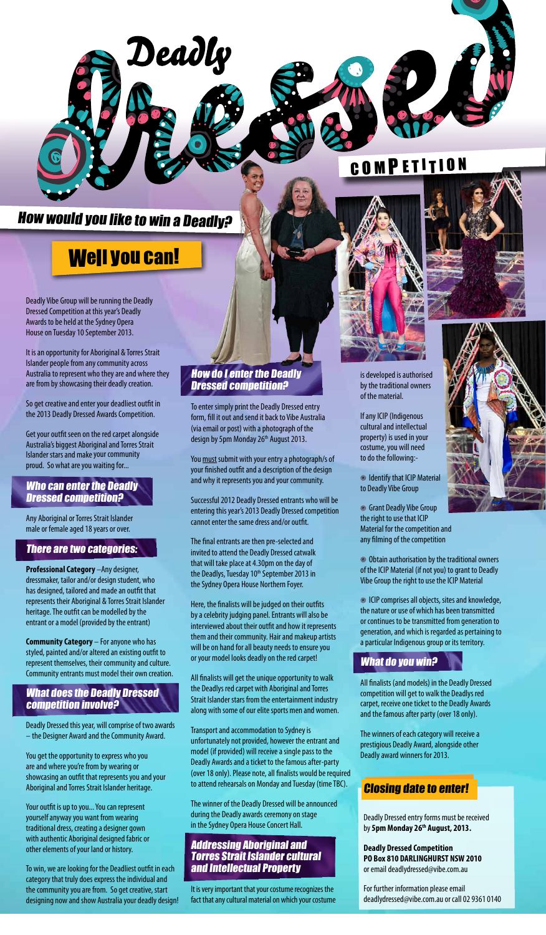

# How would you like to win a Deadly?

Deadly

# **Well you can!**

Deadly Vibe Group will be running the Deadly Dressed Competition at this year's Deadly Awards to be held at the Sydney Opera House on Tuesday 10 September 2013.

It is an opportunity for Aboriginal & Torres Strait Islander people from any community across Australia to represent who they are and where they are from by showcasing their deadly creation.

So get creative and enter your deadliest outfit in the 2013 Deadly Dressed Awards Competition.

Get your outfit seen on the red carpet alongside Australia's biggest Aboriginal and Torres Strait Islander stars and make your community proud. So what are you waiting for...

### Who can enter the Deadly Dressed competition?

Any Aboriginal or Torres Strait Islander male or female aged 18 years or over.

## There are two categories:

**Professional Category** –Any designer, dressmaker, tailor and/or design student, who has designed, tailored and made an outfit that represents their Aboriginal & Torres Strait Islander heritage. The outfit can be modelled by the entrant or a model (provided by the entrant)

**Community Category** – For anyone who has styled, painted and/or altered an existing outfit to represent themselves, their community and culture. Community entrants must model their own creation.

### What does the Deadly Dressed competition involve?

Deadly Dressed this year, will comprise of two awards – the Designer Award and the Community Award.

You get the opportunity to express who you are and where you're from by wearing or showcasing an outfit that represents you and your Aboriginal and Torres Strait Islander heritage.

Your outfit is up to you... You can represent yourself anyway you want from wearing traditional dress, creating a designer gown with authentic Aboriginal designed fabric or other elements of your land or history.

To win, we are looking for the Deadliest outfit in each category that truly does express the individual and the community you are from. So get creative, start designing now and show Australia your deadly design!

## How do I enter the Deadly Dressed competition?

To enter simply print the Deadly Dressed entry form, fill it out and send it back to Vibe Australia (via email or post) with a photograph of the design by 5pm Monday 26<sup>th</sup> August 2013.

You must submit with your entry a photograph/s of your finished outfit and a description of the design and why it represents you and your community.

Successful 2012 Deadly Dressed entrants who will be entering this year's 2013 Deadly Dressed competition cannot enter the same dress and/or outfit.

The final entrants are then pre-selected and invited to attend the Deadly Dressed catwalk that will take place at 4.30pm on the day of the Deadlys, Tuesday 10<sup>th</sup> September 2013 in the Sydney Opera House Northern Foyer.

Here, the finalists will be judged on their outfits by a celebrity judging panel. Entrants will also be interviewed about their outfit and how it represents them and their community. Hair and makeup artists will be on hand for all beauty needs to ensure you or your model looks deadly on the red carpet!

All finalists will get the unique opportunity to walk the Deadlys red carpet with Aboriginal and Torres Strait Islander stars from the entertainment industry along with some of our elite sports men and women.

Transport and accommodation to Sydney is unfortunately not provided, however the entrant and model (if provided) will receive a single pass to the Deadly Awards and a ticket to the famous after-party (over 18 only). Please note, all finalists would be required to attend rehearsals on Monday and Tuesday (time TBC).

The winner of the Deadly Dressed will be announced during the Deadly awards ceremony on stage in the Sydney Opera House Concert Hall.

### Addressing Aboriginal and Torres Strait Islander cultural and Intellectual Property

It is very important that your costume recognizes the fact that any cultural material on which your costume



is developed is authorised by the traditional owners of the material.

If any ICIP (Indigenous cultural and intellectual property) is used in your costume, you will need to do the following:-

 Identify that ICIP Material to Deadly Vibe Group

 Grant Deadly Vibe Group the right to use that ICIP Material for the competition and any filming of the competition

 Obtain authorisation by the traditional owners of the ICIP Material (if not you) to grant to Deadly Vibe Group the right to use the ICIP Material

 ICIP comprises all objects, sites and knowledge, the nature or use of which has been transmitted or continues to be transmitted from generation to generation, and which is regarded as pertaining to a particular Indigenous group or its territory.

# What do you win?

All finalists (and models) in the Deadly Dressed competition will get to walk the Deadlys red carpet, receive one ticket to the Deadly Awards and the famous after party (over 18 only).

The winners of each category will receive a prestigious Deadly Award, alongside other Deadly award winners for 2013.

# Closing date to enter!

Deadly Dressed entry forms must be received by **5pm Monday 26th August, 2013.**

**Deadly Dressed Competition PO Box 810 DARLINGHURST NSW 2010** or email deadlydressed@vibe.com.au

For further information please email deadlydressed@vibe.com.au or call 02 9361 0140